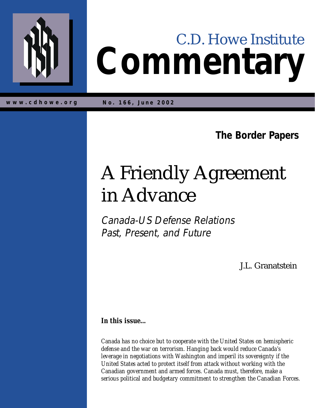

# **Commentary** C.D. Howe Institute

**w w w .cdh o w e.org No. 166, June 2002**

**The Border Papers**

## A Friendly Agreement in Advance

Canada-US Defense Relations Past, Present, and Future

J.L. Granatstein

*In this issue...*

*Canada has no choice but to cooperate with the United States on hemispheric defense and the war on terrorism. Hanging back would reduce Canada's leverage in negotiations with Washington and imperil its sovereignty if the United States acted to protect itself from attack without working with the Canadian government and armed forces. Canada must, therefore, make a serious political and budgetary commitment to strengthen the Canadian Forces.*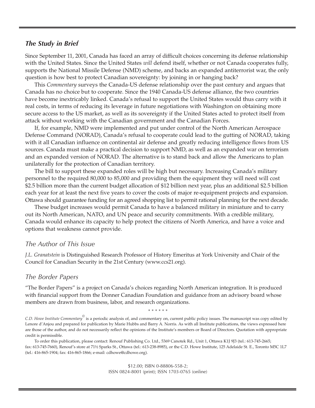#### *The Study in Brief*

Since September 11, 2001, Canada has faced an array of difficult choices concerning its defense relationship with the United States. Since the United States *will* defend itself, whether or not Canada cooperates fully, supports the National Missile Defense (NMD) scheme, and backs an expanded antiterrorist war, the only question is how best to protect Canadian sovereignty: by joining in or hanging back?

This *Commentary* surveys the Canada-US defense relationship over the past century and argues that Canada has no choice but to cooperate. Since the 1940 Canada-US defense alliance, the two countries have become inextricably linked. Canada's refusal to support the United States would thus carry with it real costs, in terms of reducing its leverage in future negotiations with Washington on obtaining more secure access to the US market, as well as its sovereignty if the United States acted to protect itself from attack without working with the Canadian government and the Canadian Forces.

If, for example, NMD were implemented and put under control of the North American Aerospace Defense Command (NORAD), Canada's refusal to cooperate could lead to the gutting of NORAD, taking with it all Canadian influence on continental air defense and greatly reducing intelligence flows from US sources. Canada must make a practical decision to support NMD, as well as an expanded war on terrorism and an expanded version of NORAD. The alternative is to stand back and allow the Americans to plan unilaterally for the protection of Canadian territory.

The bill to support these expanded roles will be high but necessary. Increasing Canada's military personnel to the required 80,000 to 85,000 and providing them the equipment they will need will cost \$2.5 billion more than the current budget allocation of \$12 billion next year, plus an additional \$2.5 billion each year for at least the next five years to cover the costs of major re-equipment projects and expansion. Ottawa should guarantee funding for an agreed shopping list to permit rational planning for the next decade.

These budget increases would permit Canada to have a balanced military in miniature and to carry out its North American, NATO, and UN peace and security commitments. With a credible military, Canada would enhance its capacity to help protect the citizens of North America, and have a voice and options that weakness cannot provide.

#### *The Author of This Issue*

*J.L. Granatstein* is Distinguished Research Professor of History Emeritus at York University and Chair of the Council for Canadian Security in the 21st Century (www.ccs21.org).

#### *The Border Papers*

"The Border Papers" is a project on Canada's choices regarding North American integration. It is produced with financial support from the Donner Canadian Foundation and guidance from an advisory board whose members are drawn from business, labor, and research organizations.

\* \* \* \* \* \*

*C.D. Howe Institute Commentary©* is a periodic analysis of, and commentary on, current public policy issues. The manuscript was copy edited by Lenore d'Anjou and prepared for publication by Marie Hubbs and Barry A. Norris. As with all Institute publications, the views expressed here are those of the author, and do not necessarily reflect the opinions of the Institute's members or Board of Directors. Quotation with appropriate credit is permissible.

To order this publication, please contact: Renouf Publishing Co. Ltd., 5369 Canotek Rd., Unit 1, Ottawa K1J 9J3 (tel.: 613-745-2665; fax: 613-745-7660), Renouf's store at 71½ Sparks St., Ottawa (tel.: 613-238-8985), or the C.D. Howe Institute, 125 Adelaide St. E., Toronto M5C 1L7 (tel.: 416-865-1904; fax: 416-865-1866; e-mail: cdhowe@cdhowe.org).

> \$12.00; ISBN 0-88806-558-2; ISSN 0824-8001 (print); ISSN 1703-0765 (online)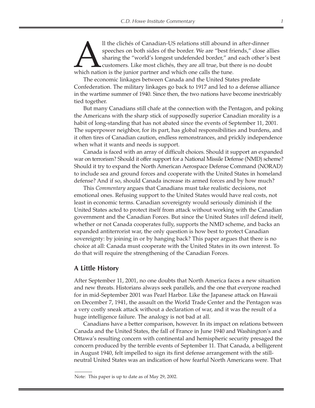Il the clichés of Canadian-US relations still abound in after-dinner speeches on both sides of the border. We are "best friends," close a sharing the "world's longest undefended border," and each other's customers. Like mo speeches on both sides of the border. We are "best friends," close allies sharing the "world's longest undefended border," and each other's best customers. Like most clichés, they are all true, but there is no doubt which nation is the junior partner and which one calls the tune.

The economic linkages between Canada and the United States predate Confederation. The military linkages go back to 1917 and led to a defense alliance in the wartime summer of 1940. Since then, the two nations have become inextricably tied together.

But many Canadians still chafe at the connection with the Pentagon, and poking the Americans with the sharp stick of supposedly superior Canadian morality is a habit of long-standing that has not abated since the events of September 11, 2001. The superpower neighbor, for its part, has global responsibilities and burdens, and it often tires of Canadian caution, endless remonstrances, and prickly independence when what it wants and needs is support.

Canada is faced with an array of difficult choices. Should it support an expanded war on terrorism? Should it offer support for a National Missile Defense (NMD) scheme? Should it try to expand the North American Aerospace Defense Command (NORAD) to include sea and ground forces and cooperate with the United States in homeland defense? And if so, should Canada increase its armed forces and by how much?

This *Commentary* argues that Canadians must take realistic decisions, not emotional ones. Refusing support to the United States would have real costs, not least in economic terms. Canadian sovereignty would seriously diminish if the United States acted to protect itself from attack without working with the Canadian government and the Canadian Forces. But since the United States *will* defend itself, whether or not Canada cooperates fully, supports the NMD scheme, and backs an expanded antiterrorist war, the only question is how best to protect Canadian sovereignty: by joining in or by hanging back? This paper argues that there is no choice at all: Canada must cooperate with the United States in its own interest. To do that will require the strengthening of the Canadian Forces.

#### **A Little History**

After September 11, 2001, no one doubts that North America faces a new situation and new threats. Historians always seek parallels, and the one that everyone reached for in mid-September 2001 was Pearl Harbor. Like the Japanese attack on Hawaii on December 7, 1941, the assault on the World Trade Center and the Pentagon was a very costly sneak attack without a declaration of war, and it was the result of a huge intelligence failure. The analogy is not bad at all.

Canadians have a better comparison, however. In its impact on relations between Canada and the United States, the fall of France in June 1940 and Washington's and Ottawa's resulting concern with continental and hemispheric security presaged the concern produced by the terrible events of September 11. That Canada, a belligerent in August 1940, felt impelled to sign its first defense arrangement with the stillneutral United States was an indication of how fearful North Americans were. That

Note: This paper is up to date as of May 29, 2002.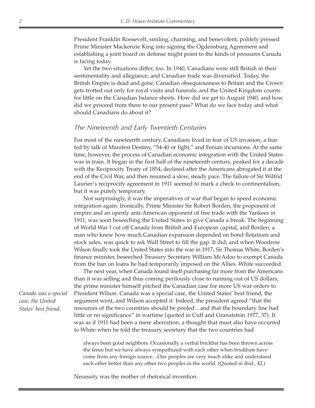President Franklin Roosevelt, smiling, charming, and benevolent, politely pressed Prime Minister Mackenzie King into signing the Ogdensburg Agreement and establishing a joint board on defense might point to the kinds of pressures Canada is facing today.

Yet the two situations differ, too. In 1940, Canadians were still British in their sentimentality and allegiance, and Canadian trade was diversified. Today, the British Empire is dead and gone, Canadian obsequiousness to Britain and the Crown gets trotted out only for royal visits and funerals, and the United Kingdom counts for little on the Canadian balance sheets. How did we get to August 1940, and how did we proceed from there to our present pass? What do we face today and what should Canadians do about it?

#### *The Nineteenth and Early Twentieth Centuries*

For most of the nineteenth century, Canadians lived in fear of US invasion, a fear fed by talk of Manifest Destiny, "54-40 or fight," and Fenian incursions. At the same time, however, the process of Canadian economic integration with the United States was in train. It began in the first half of the nineteenth century, peaked for a decade with the Reciprocity Treaty of 1854, declined after the Americans abrogated it at the end of the Civil War, and then resumed a slow, steady pace. The failure of Sir Wilfrid Laurier's reciprocity agreement in 1911 seemed to mark a check to continentalism, but it was purely temporary.

Not surprisingly, it was the imperatives of war that began to speed economic integration again. Ironically, Prime Minister Sir Robert Borden, the proponent of empire and an openly anti-American opponent of free trade with the Yankees in 1911, was soon beseeching the United States to give Canada a break. The beginning of World War I cut off Canada from British and European capital, and Borden, a man who knew how much Canadian expansion depended on bond flotations and stock sales, was quick to ask Wall Street to fill the gap. It did, and when Woodrow Wilson finally took the United States into the war in 1917, Sir Thomas White, Borden's finance minister, beseeched Treasury Secretary William McAdoo to exempt Canada from the ban on loans he had temporarily imposed on the Allies. White succeeded.

The next year, when Canada found itself purchasing far more from the Americans than it was selling and thus coming perilously close to running out of US dollars, the prime minister himself pitched the Canadian case for more US war orders to President Wilson. Canada was a special case, the United States' best friend, the argument went, and Wilson accepted it. Indeed, the president agreed "that the resources of the two countries should be pooled…and that the boundary line had little or no significance" in wartime (quoted in Cuff and Granatstein 1977, 37). It was as if 1911 had been a mere aberration, a thought that must also have occurred to White when he told the treasury secretary that the two countries had

always been good neighbors. Occasionally a verbal brickbat has been thrown across the fence but we have always sympathized with each other when brickbats have come from any foreign source....Our peoples are very much alike and understand each other better than any other two peoples in the world. (Quoted in ibid., 42.)

Necessity was the mother of rhetorical invention.

*Canada was a special case, the United States' best friend.*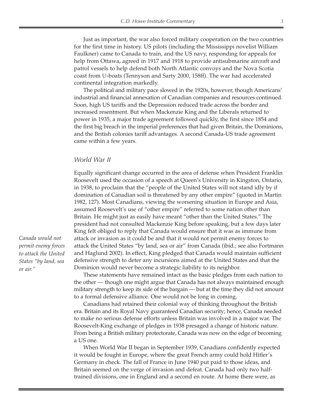Just as important, the war also forced military cooperation on the two countries for the first time in history. US pilots (including the Mississippi novelist William Faulkner) came to Canada to train, and the US navy, responding for appeals for help from Ottawa, agreed in 1917 and 1918 to provide antisubmarine aircraft and patrol vessels to help defend both North Atlantic convoys and the Nova Scotia coast from U-boats (Tennyson and Sarty 2000, 158ff). The war had accelerated continental integration markedly.

The political and military pace slowed in the 1920s, however, though Americans' industrial and financial annexation of Canadian companies and resources continued. Soon, high US tariffs and the Depression reduced trade across the border and increased resentment. But when Mackenzie King and the Liberals returned to power in 1935, a major trade agreement followed quickly, the first since 1854 and the first big breach in the imperial preferences that had given Britain, the Dominions, and the British colonies tariff advantages. A second Canada-US trade agreement came within a few years.

#### *World War II*

Equally significant change occurred in the area of defense when President Franklin Roosevelt used the occasion of a speech at Queen's University in Kingston, Ontario, in 1938, to proclaim that the "people of the United States will not stand idly by if domination of Canadian soil is threatened by any other empire" (quoted in Martin 1982, 127). Most Canadians, viewing the worsening situation in Europe and Asia, assumed Roosevelt's use of "other empire" referred to some nation other than Britain. He might just as easily have meant "other than the United States." The president had not consulted Mackenzie King before speaking, but a few days later King felt obliged to reply that Canada would ensure that it was as immune from attack or invasion as it could be and that it would not permit enemy forces to attack the United States "by land, sea or air" from Canada (ibid.; see also Fortmann and Haglund 2002). In effect, King pledged that Canada would maintain sufficient defensive strength to deter any incursions aimed at the United States and that the Dominion would never become a strategic liability to its neighbor.

These statements have remained intact as the basic pledges from each nation to the other — though one might argue that Canada has not always maintained enough military strength to keep its side of the bargain — but at the time they did not amount to a formal defensive alliance. One would not be long in coming.

Canadians had retained their colonial way of thinking throughout the British era. Britain and its Royal Navy guaranteed Canadian security; hence, Canada needed to make no serious defense efforts unless Britain was involved in a major war. The Roosevelt-King exchange of pledges in 1938 presaged a change of historic nature. From being a British military protectorate, Canada was now on the edge of becoming a US one.

When World War II began in September 1939, Canadians confidently expected it would be fought in Europe, where the great French army could hold Hitler's Germany in check. The fall of France in June 1940 put paid to those ideas, and Britain seemed on the verge of invasion and defeat. Canada had only two halftrained divisions, one in England and a second en route. At home there were, as

*Canada would not permit enemy forces to attack the United States "by land, sea or air."*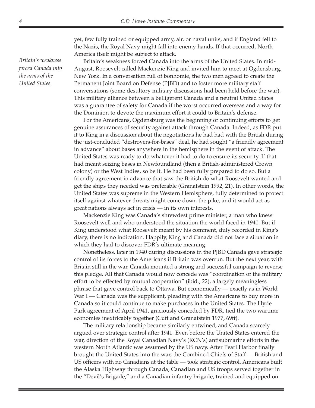yet, few fully trained or equipped army, air, or naval units, and if England fell to the Nazis, the Royal Navy might fall into enemy hands. If that occurred, North America itself might be subject to attack.

Britain's weakness forced Canada into the arms of the United States. In mid-August, Roosevelt called Mackenzie King and invited him to meet at Ogdensburg, New York. In a conversation full of bonhomie, the two men agreed to create the Permanent Joint Board on Defense (PJBD) and to foster more military staff conversations (some desultory military discussions had been held before the war). This military alliance between a belligerent Canada and a neutral United States was a guarantee of safety for Canada if the worst occurred overseas and a way for the Dominion to devote the maximum effort it could to Britain's defense.

For the Americans, Ogdensburg was the beginning of continuing efforts to get genuine assurances of security against attack through Canada. Indeed, as FDR put it to King in a discussion about the negotiations he had had with the British during the just-concluded "destroyers-for-bases" deal, he had sought "a friendly agreement in advance" about bases anywhere in the hemisphere in the event of attack. The United States was ready to do whatever it had to do to ensure its security. If that had meant seizing bases in Newfoundland (then a British-administered Crown colony) or the West Indies, so be it. He had been fully prepared to do so. But a friendly agreement in advance that saw the British do what Roosevelt wanted and get the ships they needed was preferable (Granatstein 1992, 21). In other words, the United States was supreme in the Western Hemisphere, fully determined to protect itself against whatever threats might come down the pike, and it would act as great nations always act in crisis — in its own interests.

Mackenzie King was Canada's shrewdest prime minister, a man who knew Roosevelt well and who understood the situation the world faced in 1940. But if King understood what Roosevelt meant by his comment, duly recorded in King's diary, there is no indication. Happily, King and Canada did not face a situation in which they had to discover FDR's ultimate meaning.

Nonetheless, later in 1940 during discussions in the PJBD Canada gave strategic control of its forces to the Americans if Britain was overrun. But the next year, with Britain still in the war, Canada mounted a strong and successful campaign to reverse this pledge. All that Canada would now concede was "coordination of the military effort to be effected by mutual cooperation" (ibid., 22), a largely meaningless phrase that gave control back to Ottawa. But economically — exactly as in World War I — Canada was the supplicant, pleading with the Americans to buy more in Canada so it could continue to make purchases in the United States. The Hyde Park agreement of April 1941, graciously conceded by FDR, tied the two wartime economies inextricably together (Cuff and Granatstein 1977, 69ff).

The military relationship became similarly entwined, and Canada scarcely argued over strategic control after 1941. Even before the United States entered the war, direction of the Royal Canadian Navy's (RCN's) antisubmarine efforts in the western North Atlantic was assumed by the US navy. After Pearl Harbor finally brought the United States into the war, the Combined Chiefs of Staff — British and US officers with no Canadians at the table — took strategic control. Americans built the Alaska Highway through Canada, Canadian and US troops served together in the "Devil's Brigade," and a Canadian infantry brigade, trained and equipped on

*Britain's weakness forced Canada into the arms of the United States.*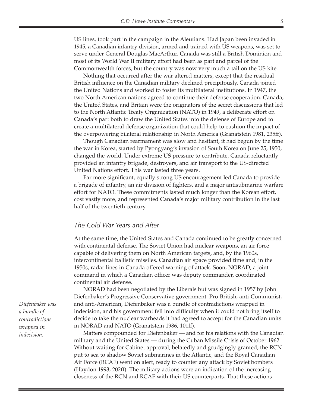US lines, took part in the campaign in the Aleutians. Had Japan been invaded in 1945, a Canadian infantry division, armed and trained with US weapons, was set to serve under General Douglas MacArthur. Canada was still a British Dominion and most of its World War II military effort had been as part and parcel of the Commonwealth forces, but the country was now very much a tail on the US kite.

Nothing that occurred after the war altered matters, except that the residual British influence on the Canadian military declined precipitously. Canada joined the United Nations and worked to foster its multilateral institutions. In 1947, the two North American nations agreed to continue their defense cooperation. Canada, the United States, and Britain were the originators of the secret discussions that led to the North Atlantic Treaty Organization (NATO) in 1949, a deliberate effort on Canada's part both to draw the United States into the defense of Europe and to create a multilateral defense organization that could help to cushion the impact of the overpowering bilateral relationship in North America (Granatstein 1981, 235ff).

Though Canadian rearmament was slow and hesitant, it had begun by the time the war in Korea, started by Pyongyang's invasion of South Korea on June 25, 1950, changed the world. Under extreme US pressure to contribute, Canada reluctantly provided an infantry brigade, destroyers, and air transport to the US-directed United Nations effort. This war lasted three years.

Far more significant, equally strong US encouragement led Canada to provide a brigade of infantry, an air division of fighters, and a major antisubmarine warfare effort for NATO. These commitments lasted much longer than the Korean effort, cost vastly more, and represented Canada's major military contribution in the last half of the twentieth century.

#### *The Cold War Years and After*

At the same time, the United States and Canada continued to be greatly concerned with continental defense. The Soviet Union had nuclear weapons, an air force capable of delivering them on North American targets, and, by the 1960s, intercontinental ballistic missiles. Canadian air space provided time and, in the 1950s, radar lines in Canada offered warning of attack. Soon, NORAD, a joint command in which a Canadian officer was deputy commander, coordinated continental air defense.

NORAD had been negotiated by the Liberals but was signed in 1957 by John Diefenbaker's Progressive Conservative government. Pro-British, anti-Communist, and anti-American, Diefenbaker was a bundle of contradictions wrapped in indecision, and his government fell into difficulty when it could not bring itself to decide to take the nuclear warheads it had agreed to accept for the Canadian units in NORAD and NATO (Granatstein 1986, 101ff).

Matters compounded for Diefenbaker — and for his relations with the Canadian military and the United States — during the Cuban Missile Crisis of October 1962. Without waiting for Cabinet approval, belatedly and grudgingly granted, the RCN put to sea to shadow Soviet submarines in the Atlantic, and the Royal Canadian Air Force (RCAF) went on alert, ready to counter any attack by Soviet bombers (Haydon 1993, 202ff). The military actions were an indication of the increasing closeness of the RCN and RCAF with their US counterparts. That these actions

*Diefenbaker was a bundle of contradictions wrapped in indecision.*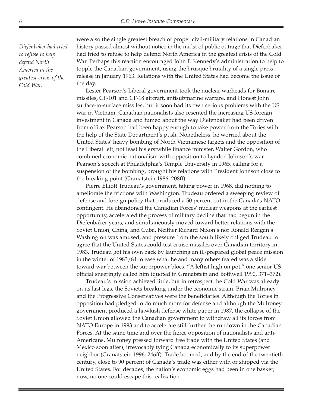*Diefenbaker had tried to refuse to help defend North America in the greatest crisis of the Cold War.*

were also the single greatest breach of proper civil-military relations in Canadian history passed almost without notice in the midst of public outrage that Diefenbaker had tried to refuse to help defend North America in the greatest crisis of the Cold War. Perhaps this reaction encouraged John F. Kennedy's administration to help to topple the Canadian government, using the brusque brutality of a single press release in January 1963. Relations with the United States had become the issue of the day.

Lester Pearson's Liberal government took the nuclear warheads for Bomarc missiles, CF-101 and CF-18 aircraft, antisubmarine warfare, and Honest John surface-to-surface missiles, but it soon had its own serious problems with the US war in Vietnam. Canadian nationalists also resented the increasing US foreign investment in Canada and fumed about the way Diefenbaker had been driven from office. Pearson had been happy enough to take power from the Tories with the help of the State Department's push. Nonetheless, he worried about the United States' heavy bombing of North Vietnamese targets and the opposition of the Liberal left, not least his erstwhile finance minister, Walter Gordon, who combined economic nationalism with opposition to Lyndon Johnson's war. Pearson's speech at Philadelphia's Temple University in 1965, calling for a suspension of the bombing, brought his relations with President Johnson close to the breaking point (Granatstein 1986, 208ff).

Pierre Elliott Trudeau's government, taking power in 1968, did nothing to ameliorate the frictions with Washington. Trudeau ordered a sweeping review of defense and foreign policy that produced a 50 percent cut in the Canada's NATO contingent. He abandoned the Canadian Forces' nuclear weapons at the earliest opportunity, accelerated the process of military decline that had begun in the Diefenbaker years, and simultaneously moved toward better relations with the Soviet Union, China, and Cuba. Neither Richard Nixon's nor Ronald Reagan's Washington was amused, and pressure from the south likely obliged Trudeau to agree that the United States could test cruise missiles over Canadian territory in 1983. Trudeau got his own back by launching an ill-prepared global peace mission in the winter of 1983/84 to ease what he and many others feared was a slide toward war between the superpower blocs. "A leftist high on pot," one senior US official sneeringly called him (quoted in Granatstein and Bothwell 1990, 371–372).

Trudeau's mission achieved little, but in retrospect the Cold War was already on its last legs, the Soviets breaking under the economic strain. Brian Mulroney and the Progressive Conservatives were the beneficiaries. Although the Tories in opposition had pledged to do much more for defense and although the Mulroney government produced a hawkish defense white paper in 1987, the collapse of the Soviet Union allowed the Canadian government to withdraw all its forces from NATO Europe in 1993 and to accelerate still further the rundown in the Canadian Forces. At the same time and over the fierce opposition of nationalists and anti-Americans, Mulroney pressed forward free trade with the United States (and Mexico soon after), irrevocably tying Canada economically to its superpower neighbor (Granatstein 1996, 246ff). Trade boomed, and by the end of the twentieth century, close to 90 percent of Canada's trade was either with or shipped via the United States. For decades, the nation's economic eggs had been in one basket; now, no one could escape this realization.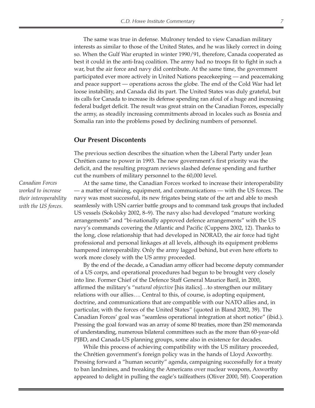The same was true in defense. Mulroney tended to view Canadian military interests as similar to those of the United States, and he was likely correct in doing so. When the Gulf War erupted in winter 1990/91, therefore, Canada cooperated as best it could in the anti-Iraq coalition. The army had no troops fit to fight in such a war, but the air force and navy did contribute. At the same time, the government participated ever more actively in United Nations peacekeeping — and peacemaking and peace support — operations across the globe. The end of the Cold War had let loose instability, and Canada did its part. The United States was duly grateful, but its calls for Canada to increase its defense spending ran afoul of a huge and increasing federal budget deficit. The result was great strain on the Canadian Forces, especially the army, as steadily increasing commitments abroad in locales such as Bosnia and Somalia ran into the problems posed by declining numbers of personnel.

#### **Our Present Discontents**

The previous section describes the situation when the Liberal Party under Jean Chrétien came to power in 1993. The new government's first priority was the deficit, and the resulting program reviews slashed defense spending and further cut the numbers of military personnel to the 60,000 level.

At the same time, the Canadian Forces worked to increase their interoperability — a matter of training, equipment, and communications — with the US forces. The navy was most successful, its new frigates being state of the art and able to mesh seamlessly with USN carrier battle groups and to command task groups that included US vessels (Sokolsky 2002, 8–9). The navy also had developed "mature working arrangements" and "bi-nationally approved defence arrangements" with the US navy's commands covering the Atlantic and Pacific (Cuppens 2002, 12). Thanks to the long, close relationship that had developed in NORAD, the air force had tight professional and personal linkages at all levels, although its equipment problems hampered interoperability. Only the army lagged behind, but even here efforts to work more closely with the US army proceeded.

By the end of the decade, a Canadian army officer had become deputy commander of a US corps, and operational procedures had begun to be brought very closely into line. Former Chief of the Defence Staff General Maurice Baril, in 2000, affirmed the military's "*natural objective* [his italics]…to strengthen our military relations with our allies…. Central to this, of course, is adopting equipment, doctrine, and communications that are compatible with our NATO allies and, in particular, with the forces of the United States" (quoted in Bland 2002, 39). The Canadian Forces' goal was "seamless operational integration at short notice" (ibid.). Pressing the goal forward was an array of some 80 treaties, more than 250 memoranda of understanding, numerous bilateral committees such as the more than 60-year-old PJBD, and Canada-US planning groups, some also in existence for decades.

While this process of achieving compatibility with the US military proceeded, the Chrétien government's foreign policy was in the hands of Lloyd Axworthy. Pressing forward a "human security" agenda, campaigning successfully for a treaty to ban landmines, and tweaking the Americans over nuclear weapons, Axworthy appeared to delight in pulling the eagle's tailfeathers (Oliver 2000, 5ff). Cooperation

*Canadian Forces worked to increase their interoperability with the US forces.*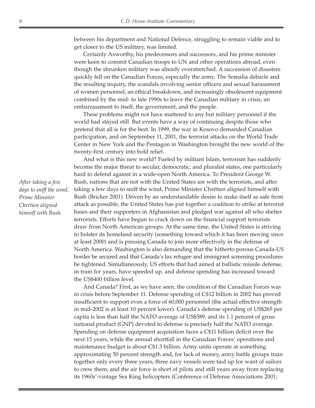between his department and National Defence, struggling to remain viable and to get closer to the US military, was limited.

Certainly Axworthy, his predecessors and successors, and his prime minister were keen to commit Canadian troops to UN and other operations abroad, even though the shrunken military was already overstretched. A succession of disasters quickly fell on the Canadian Forces, especially the army. The Somalia debacle and the resulting inquiry, the scandals involving senior officers and sexual harassment of women personnel, an ethical breakdown, and increasingly obsolescent equipment combined by the mid- to late 1990s to leave the Canadian military in crisis, an embarrassment to itself, the government, and the people.

These problems might not have mattered to any but military personnel if the world had stayed still. But events have a way of continuing despite those who pretend that all is for the best. In 1999, the war in Kosovo demanded Canadian participation, and on September 11, 2001, the terrorist attacks on the World Trade Center in New York and the Pentagon in Washington brought the new world of the twenty-first century into bold relief.

And what is this new world? Fueled by militant Islam, terrorism has suddenly become the major threat to secular, democratic, and pluralist states, one particularly hard to defend against in a wide-open North America. To President George W. Bush, nations that are not with the United States are with the terrorists, and after taking a few days to sniff the wind, Prime Minister Chrétien aligned himself with Bush (Bricker 2001). Driven by an understandable desire to make itself as safe from attack as possible, the United States has put together a coalition to strike at terrorist bases and their supporters in Afghanistan and pledged war against all who shelter terrorists. Efforts have begun to crack down on the financial support terrorists draw from North American groups. At the same time, the United States is striving to bolster its homeland security (something toward which it has been moving since at least 2000) and is pressing Canada to join more effectively in the defense of North America. Washington is also demanding that the hitherto porous Canada-US border be secured and that Canada's lax refugee and immigrant screening procedures be tightened. Simultaneously, US efforts that had aimed at ballistic missile defense, in train for years, have speeded up, and defense spending has increased toward the US\$400 billion level.

And Canada? First, as we have seen, the condition of the Canadian Forces was in crisis before September 11. Defense spending of C\$12 billion in 2002 has proved insufficient to support even a force of 60,000 personnel (the actual effective strength in mid-2002 is at least 10 percent lower). Canada's defense spending of US\$265 per capita is less than half the NATO average of US\$589, and its 1.1 percent of gross national product (GNP) devoted to defense is precisely half the NATO average. Spending on defense equipment acquisition faces a C\$11 billion deficit over the next 15 years, while the annual shortfall in the Canadian Forces' operations and maintenance budget is about C\$1.3 billion. Army units operate at something approximating 50 percent strength and, for lack of money, army battle groups train together only every three years; three navy vessels were tied up for want of sailors to crew them; and the air force is short of pilots and still years away from replacing its 1960s'-vintage Sea King helicopters (Conference of Defense Associations 2001;

*After taking a few days to sniff the wind, Prime Minister Chrétien aligned himself with Bush.*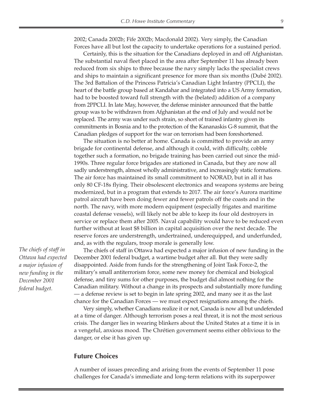2002; Canada 2002b; Fife 2002b; Macdonald 2002). Very simply, the Canadian Forces have all but lost the capacity to undertake operations for a sustained period.

Certainly, this is the situation for the Canadians deployed in and off Afghanistan. The substantial naval fleet placed in the area after September 11 has already been reduced from six ships to three because the navy simply lacks the specialist crews and ships to maintain a significant presence for more than six months (Dubé 2002). The 3rd Battalion of the Princess Patricia's Canadian Light Infantry (PPCLI), the heart of the battle group based at Kandahar and integrated into a US Army formation, had to be boosted toward full strength with the (belated) addition of a company from 2PPCLI. In late May, however, the defense minister announced that the battle group was to be withdrawn from Afghanistan at the end of July and would not be replaced. The army was under such strain, so short of trained infantry given its commitments in Bosnia and to the protection of the Kananaskis G-8 summit, that the Canadian pledges of support for the war on terrorism had been foreshortened.

The situation is no better at home. Canada is committed to provide an army brigade for continental defense, and although it could, with difficulty, cobble together such a formation, no brigade training has been carried out since the mid-1990s. Three regular force brigades are stationed in Canada, but they are now all sadly understrength, almost wholly administrative, and increasingly static formations. The air force has maintained its small commitment to NORAD, but in all it has only 80 CF-18s flying. Their obsolescent electronics and weapons systems are being modernized, but in a program that extends to 2017. The air force's Aurora maritime patrol aircraft have been doing fewer and fewer patrols off the coasts and in the north. The navy, with more modern equipment (especially frigates and maritime coastal defense vessels), will likely not be able to keep its four old destroyers in service or replace them after 2005. Naval capability would have to be reduced even further without at least \$8 billion in capital acquisition over the next decade. The reserve forces are understrength, undertrained, underequipped, and underfunded, and, as with the regulars, troop morale is generally low.

*The chiefs of staff in Ottawa had expected a major infusion of new funding in the December 2001 federal budget.*

The chiefs of staff in Ottawa had expected a major infusion of new funding in the December 2001 federal budget, a wartime budget after all. But they were sadly disappointed. Aside from funds for the strengthening of Joint Task Force-2, the military's small antiterrorism force, some new money for chemical and biological defense, and tiny sums for other purposes, the budget did almost nothing for the Canadian military. Without a change in its prospects and substantially more funding — a defense review is set to begin in late spring 2002, and many see it as the last chance for the Canadian Forces — we must expect resignations among the chiefs.

Very simply, whether Canadians realize it or not, Canada is now all but undefended at a time of danger. Although terrorism poses a real threat, it is not the most serious crisis. The danger lies in wearing blinkers about the United States at a time it is in a vengeful, anxious mood. The Chrétien government seems either oblivious to the danger, or else it has given up.

#### **Future Choices**

A number of issues preceding and arising from the events of September 11 pose challenges for Canada's immediate and long-term relations with its superpower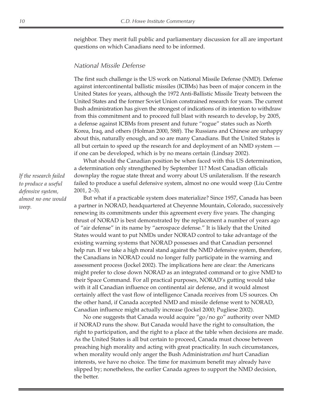neighbor. They merit full public and parliamentary discussion for all are important questions on which Canadians need to be informed.

#### *National Missile Defense*

The first such challenge is the US work on National Missile Defense (NMD). Defense against intercontinental ballistic missiles (ICBMs) has been of major concern in the United States for years, although the 1972 Anti-Ballistic Missile Treaty between the United States and the former Soviet Union constrained research for years. The current Bush administration has given the strongest of indications of its intention to withdraw from this commitment and to proceed full blast with research to develop, by 2005, a defense against ICBMs from present and future "rogue" states such as North Korea, Iraq, and others (Holman 2000, 58ff). The Russians and Chinese are unhappy about this, naturally enough, and so are many Canadians. But the United States is all but certain to speed up the research for and deployment of an NMD system if one can be developed, which is by no means certain (Lindsay 2002).

What should the Canadian position be when faced with this US determination, a determination only strengthened by September 11? Most Canadian officials downplay the rogue state threat and worry about US unilateralism. If the research failed to produce a useful defensive system, almost no one would weep (Liu Centre 2001, 2–3).

But what if a practicable system does materialize? Since 1957, Canada has been a partner in NORAD, headquartered at Cheyenne Mountain, Colorado, successively renewing its commitments under this agreement every five years. The changing thrust of NORAD is best demonstrated by the replacement a number of years ago of "air defense" in its name by "aerospace defense." It is likely that the United States would want to put NMDs under NORAD control to take advantage of the existing warning systems that NORAD possesses and that Canadian personnel help run. If we take a high moral stand against the NMD defensive system, therefore, the Canadians in NORAD could no longer fully participate in the warning and assessment process (Jockel 2002). The implications here are clear: the Americans might prefer to close down NORAD as an integrated command or to give NMD to their Space Command. For all practical purposes, NORAD's gutting would take with it all Canadian influence on continental air defense, and it would almost certainly affect the vast flow of intelligence Canada receives from US sources. On the other hand, if Canada accepted NMD and missile defense went to NORAD, Canadian influence might actually increase (Jockel 2000; Pugliese 2002).

No one suggests that Canada would acquire "go/no go" authority over NMD if NORAD runs the show. But Canada would have the right to consultation, the right to participation, and the right to a place at the table when decisions are made. As the United States is all but certain to proceed, Canada must choose between preaching high morality and acting with great practicality. In such circumstances, when morality would only anger the Bush Administration *and* hurt Canadian interests, we have no choice. The time for maximum benefit may already have slipped by; nonetheless, the earlier Canada agrees to support the NMD decision, the better.

*If the research failed to produce a useful defensive system, almost no one would weep.*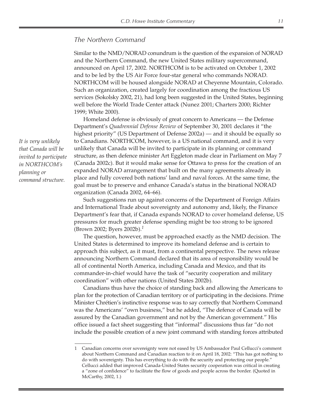#### *The Northern Command*

Similar to the NMD/NORAD conundrum is the question of the expansion of NORAD and the Northern Command, the new United States military supercommand, announced on April 17, 2002. NORTHCOM is to be activated on October 1, 2002 and to be led by the US Air Force four-star general who commands NORAD. NORTHCOM will be housed alongside NORAD at Cheyenne Mountain, Colorado. Such an organization, created largely for coordination among the fractious US services (Sokolsky 2002, 21), had long been suggested in the United States, beginning well before the World Trade Center attack (Nunez 2001; Charters 2000; Richter 1999; White 2000).

Homeland defense is obviously of great concern to Americans — the Defense Department's *Quadrennial Defense Review* of September 30, 2001 declares it "the highest priority" (US Department of Defense 2002a) — and it should be equally so to Canadians. NORTHCOM, however, is a US national command, and it is very unlikely that Canada will be invited to participate in its planning or command structure, as then defence minister Art Eggleton made clear in Parliament on May 7 (Canada 2002c). But it would make sense for Ottawa to press for the creation of an expanded NORAD arrangement that built on the many agreements already in place and fully covered both nations' land and naval forces. At the same time, the goal must be to preserve and enhance Canada's status in the binational NORAD organization (Canada 2002, 64–66).

Such suggestions run up against concerns of the Department of Foreign Affairs and International Trade about sovereignty and autonomy and, likely, the Finance Department's fear that, if Canada expands NORAD to cover homeland defense, US pressures for much greater defense spending might be too strong to be ignored (Brown 2002; Byers 2002b).*<sup>1</sup>*

The question, however, must be approached exactly as the NMD decision. The United States is determined to improve its homeland defense and is certain to approach this subject, as it must, from a continental perspective. The news release announcing Northern Command declared that its area of responsibility would be all of continental North America, including Canada and Mexico, and that its commander-in-chief would have the task of "security cooperation and military coordination" with other nations (United States 2002b).

Canadians thus have the choice of standing back and allowing the Americans to plan for the protection of Canadian territory or of participating in the decisions. Prime Minister Chrétien's instinctive response was to say correctly that Northern Command was the Americans' "own business," but he added, "The defence of Canada will be assured by the Canadian government and not by the American government." His office issued a fact sheet suggesting that "informal" discussions thus far "do not include the possible creation of a new joint command with standing forces attributed

*It is very unlikely that Canada will be invited to participate in NORTHCOM's planning or command structure.*

<sup>1</sup> Canadian concerns over sovereignty were not eased by US Ambassador Paul Cellucci's comment about Northern Command and Canadian reaction to it on April 18, 2002: "This has got nothing to do with sovereignty. This has everything to do with the security and protecting our people." Cellucci added that improved Canada-United States security cooperation was critical in creating a "zone of confidence" to facilitate the flow of goods and people across the border. (Quoted in McCarthy, 2002, 1.)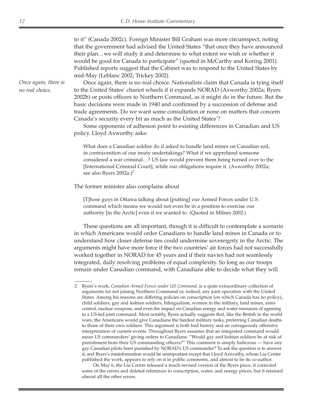to it" (Canada 2002c). Foreign Minister Bill Graham was more circumspect, noting that the government had advised the United States "that once they have announced their plan…we will study it and determine to what extent we wish or whether it would be good for Canada to participate" (quoted in McCarthy and Koring 2001). Published reports suggest that the Cabinet was to respond to the United States by mid-May (Leblanc 2002; Trickey 2002).

Once again, there is no real choice. Nationalists claim that Canada is tying itself to the United States' chariot wheels if it expands NORAD (Axworthy 2002a; Byers 2002b) or posts officers to Northern Command, as it might do in the future. But the basic decisions were made in 1940 and confirmed by a succession of defense and trade agreements. Do we want some consultation or none on matters that concern Canada's security every bit as much as the United States'?

Some opponents of adhesion point to existing differences in Canadian and US policy. Lloyd Axworthy asks:

What does a Canadian soldier do if asked to handle land mines on Canadian soil, in contravention of our treaty undertakings? What if we apprehend someone considered a war criminal…? US law would prevent them being turned over to the [International Criminal Court], while our obligations require it. (Axworthy 2002a; see also Byers 2002a.)*<sup>2</sup>*

The former minister also complains about

[T]hose guys in Ottawa talking about [putting] our Armed Forces under U.S. command which means we would not even be in a position to exercise our authority [in the Arctic] even if we wanted to. (Quoted in Milnes 2002.)

These questions are all important, though it is difficult to contemplate a scenario in which Americans would order Canadians to handle land mines in Canada or to understand how closer defense ties could undermine sovereignty in the Arctic. The arguments might have more force if the two countries' air forces had not successfully worked together in NORAD for 45 years and if their navies had not seamlessly integrated, daily resolving problems of equal complexity. So long as our troops remain under Canadian command, with Canadians able to decide what they will

On May 6, the Liu Centre released a much-revised version of the Byers piece; it corrected some of the errors and deleted references to conscription, water, and energy prices, but it retained almost all the other errors.

<sup>2</sup> Byers's work, *Canadian Armed Forces under US Command*, is a quite extraordinary collection of arguments for not joining Northern Command or, indeed, any joint operation with the United States. Among his reasons are differing policies on conscription (on which Canada has no policy), child soldiers, gay and lesbian soldiers, bilingualism, women in the military, land mines, arms control, nuclear weapons, and even the impact on Canadian energy and water resources of agreeing to a US-led joint command. Most notably, Byers actually suggests that, like the British in the world wars, the Americans would give Canadians the hardest military tasks, preferring Canadian deaths to those of their own soldiers. This argument is both bad history and an outrageously offensive interpretation of current events. Throughout Byers assumes that an integrated command would mean US commanders' giving orders to Canadians: "Would gay and lesbian soldiers be at risk of punishment from their US commanding officers?" This comment is simply ludicrous — have any gay Canadian pilots been punished by NORAD's US commander? To ask the question is to answer it, and Byers's misinformation would be unimportant except that Lloyd Axworthy, whose Liu Centre published the work, appears to rely on it in public comments, and almost to be its co-author.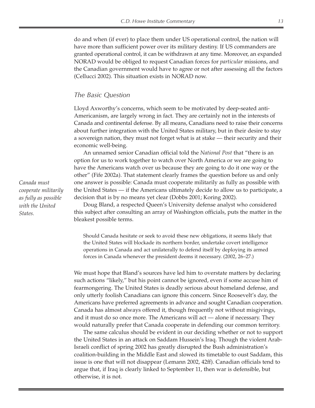do and when (if ever) to place them under US operational control, the nation will have more than sufficient power over its military destiny. If US commanders are granted operational control, it can be withdrawn at any time. Moreover, an expanded NORAD would be obliged to request Canadian forces for *particular* missions, and the Canadian government would have to agree or not after assessing all the factors (Cellucci 2002). This situation exists in NORAD now.

#### *The Basic Question*

Lloyd Axworthy's concerns, which seem to be motivated by deep-seated anti-Americanism, are largely wrong in fact. They are certainly not in the interests of Canada and continental defense. By all means, Canadians need to raise their concerns about further integration with the United States military, but in their desire to stay a sovereign nation, they must not forget what is at stake — their security and their economic well-being.

An unnamed senior Canadian official told the *National Post* that "there is an option for us to work together to watch over North America or we are going to have the Americans watch over us because they are going to do it one way or the other" (Fife 2002a). That statement clearly frames the question before us and only one answer is possible: Canada must cooperate militarily as fully as possible with the United States — if the Americans ultimately decide to allow us to participate, a decision that is by no means yet clear (Dobbs 2001; Koring 2002).

Doug Bland, a respected Queen's University defense analyst who considered this subject after consulting an array of Washington officials, puts the matter in the bleakest possible terms.

Should Canada hesitate or seek to avoid these new obligations, it seems likely that the United States will blockade its northern border, undertake covert intelligence operations in Canada and act unilaterally to defend itself by deploying its armed forces in Canada whenever the president deems it necessary. (2002, 26–27.)

We must hope that Bland's sources have led him to overstate matters by declaring such actions "likely," but his point cannot be ignored, even if some accuse him of fearmongering. The United States is deadly serious about homeland defense, and only utterly foolish Canadians can ignore this concern. Since Roosevelt's day, the Americans have preferred agreements in advance and sought Canadian cooperation. Canada has almost always offered it, though frequently not without misgivings, and it must do so once more. The Americans will act — alone if necessary. They would naturally prefer that Canada cooperate in defending our common territory.

The same calculus should be evident in our deciding whether or not to support the United States in an attack on Saddam Hussein's Iraq. Though the violent Arab-Israeli conflict of spring 2002 has greatly disrupted the Bush administration's coalition-building in the Middle East and slowed its timetable to oust Saddam, this issue is one that will not disappear (Lemann 2002, 42ff). Canadian officials tend to argue that, if Iraq is clearly linked to September 11, then war is defensible, but otherwise, it is not.

*Canada must cooperate militarily as fully as possible with the United States.*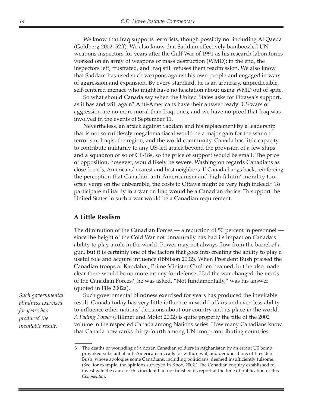We know that Iraq supports terrorists, though possibly not including Al Qaeda (Goldberg 2002, 52ff). We also know that Saddam effectively bamboozled UN weapons inspectors for years after the Gulf War of 1991 as his research laboratories worked on an array of weapons of mass destruction (WMD); in the end, the inspectors left, frustrated, and Iraq still refuses them readmission. We also know that Saddam has used such weapons against his own people and engaged in wars of aggression and expansion. By every standard, he is an arbitrary, unpredictable, self-centered menace who might have no hesitation about using WMD out of spite.

So what should Canada say when the United States asks for Ottawa's support, as it has and will again? Anti-Americans have their answer ready: US wars of aggression are no more moral than Iraqi ones, and we have no proof that Iraq was involved in the events of September 11.

Nevertheless, an attack against Saddam and his replacement by a leadership that is not so ruthlessly megalomaniacal would be a major gain for the war on terrorism, Iraqis, the region, and the world community. Canada has little capacity to contribute militarily to any US-led attack beyond the provision of a few ships and a squadron or so of CF-18s, so the price of support would be small. The price of opposition, however, would likely be severe. Washington regards Canadians as close friends, Americans' nearest and best neighbors. If Canada hangs back, reinforcing the perception that Canadian anti-Americanism and high-falutin' morality too often verge on the unbearable, the costs to Ottawa might be very high indeed.*<sup>3</sup>* To participate militarily in a war on Iraq would be a Canadian choice. To support the United States in such a war would be a Canadian requirement.

#### **A Little Realism**

The diminution of the Canadian Forces — a reduction of 50 percent in personnel since the height of the Cold War not unnaturally has had its impact on Canada's ability to play a role in the world. Power may not always flow from the barrel of a gun, but it is certainly one of the factors that goes into creating the ability to play a useful role and acquire influence (Ibbitson 2002). When President Bush praised the Canadian troops at Kandahar, Prime Minister Chrétien beamed, but he also made clear there would be no more money for defense. Had the war changed the needs of the Canadian Forces?, he was asked. "Not fundamentally," was his answer (quoted in Fife 2002a).

*Such governmental blindness exercised for years has produced the inevitable result.*

Such governmental blindness exercised for years has produced the inevitable result. Canada today has very little influence in world affairs and even less ability to influence other nations' decisions about our country and its place in the world. *A Fading Power* (Hillmer and Molot 2002) is quite properly the title of the 2002 volume in the respected Canada among Nations series. How many Canadians know that Canada now ranks thirty-fourth among UN troop-contributing countries

<sup>3</sup> The deaths or wounding of a dozen Canadian soldiers in Afghanistan by an errant US bomb provoked substantial anti-Americanism, calls for withdrawal, and denunciations of President Bush, whose apologies some Canadians, including politicians, deemed insufficiently fulsome. (See, for example, the opinions surveyed in Knox, 2002.) The Canadian enquiry established to investigate the cause of this incident had not finished its report at the time of publication of this *Commentary*.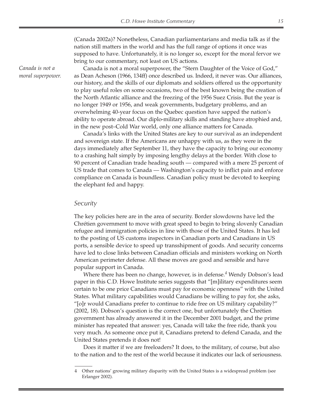(Canada 2002a)? Nonetheless, Canadian parliamentarians and media talk as if the nation still matters in the world and has the full range of options it once was supposed to have. Unfortunately, it is no longer so, except for the moral fervor we bring to our commentary, not least on US actions.

Canada is not a moral superpower, the "Stern Daughter of the Voice of God," as Dean Acheson (1966, 134ff) once described us. Indeed, it never was. Our alliances, our history, and the skills of our diplomats and soldiers offered us the opportunity to play useful roles on some occasions, two of the best known being the creation of the North Atlantic alliance and the freezing of the 1956 Suez Crisis. But the year is no longer 1949 or 1956, and weak governments, budgetary problems, and an overwhelming 40-year focus on the Quebec question have sapped the nation's ability to operate abroad. Our diplo-military skills and standing have atrophied and, in the new post–Cold War world, only one alliance matters for Canada.

Canada's links with the United States are key to our survival as an independent and sovereign state. If the Americans are unhappy with us, as they were in the days immediately after September 11, they have the capacity to bring our economy to a crashing halt simply by imposing lengthy delays at the border. With close to 90 percent of Canadian trade heading south — compared with a mere 25 percent of US trade that comes to Canada — Washington's capacity to inflict pain and enforce compliance on Canada is boundless. Canadian policy must be devoted to keeping the elephant fed and happy.

#### *Security*

The key policies here are in the area of security. Border slowdowns have led the Chrétien government to move with great speed to begin to bring slovenly Canadian refugee and immigration policies in line with those of the United States. It has led to the posting of US customs inspectors in Canadian ports and Canadians in US ports, a sensible device to speed up transshipment of goods. And security concerns have led to close links between Canadian officials and ministers working on North American perimeter defense. All these moves are good and sensible and have popular support in Canada.

Where there has been no change, however, is in defense.*<sup>4</sup>* Wendy Dobson's lead paper in this C.D. Howe Institute series suggests that "[m]ilitary expenditures seem certain to be one price Canadians must pay for economic openness" with the United States. What military capabilities would Canadians be willing to pay for, she asks, "[o]r would Canadians prefer to continue to ride free on US military capability?" (2002, 18). Dobson's question is the correct one, but unfortunately the Chrétien government has already answered it in the December 2001 budget, and the prime minister has repeated that answer: yes, Canada will take the free ride, thank you very much. As someone once put it, Canadians pretend to defend Canada, and the United States pretends it does not!

Does it matter if we are freeloaders? It does, to the military, of course, but also to the nation and to the rest of the world because it indicates our lack of seriousness.

*Canada is not a moral superpower.*

<sup>4</sup> Other nations' growing military disparity with the United States is a widespread problem (see Erlanger 2002).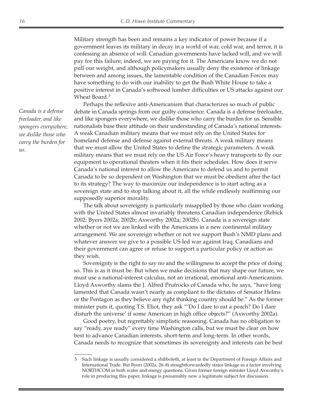Military strength has been and remains a key indicator of power because if a government leaves its military in decay in a world of war, cold war, and terror, it is confessing an absence of will. Canadian governments have lacked will, and we will pay for this failure; indeed, we are paying for it. The Americans know we do not pull our weight, and although policymakers usually deny the existence of linkage between and among issues, the lamentable condition of the Canadian Forces may have something to do with our inability to get the Bush White House to take a positive interest in Canada's softwood lumber difficulties or US attacks against our Wheat Board.*<sup>5</sup>*

Perhaps the reflexive anti-Americanism that characterizes so much of public debate in Canada springs from our guilty conscience. Canada is a defense freeloader, and like spongers everywhere, we dislike those who carry the burden for us. Sensible nationalists base their attitude on their understanding of Canada's national interests. A weak Canadian military means that we must rely on the United States for homeland defense and defense against external threats. A weak military means that we must allow the United States to define the strategic parameters. A weak military means that we must rely on the US Air Force's heavy transports to fly our equipment to operational theaters when it fits their schedules. How does it serve Canada's national interest to allow the Americans to defend us and to permit Canada to be so dependent on Washington that we must be obedient after the fact to its strategy? The way to maximize our independence is to start acting as a sovereign state and to stop talking about it, all the while endlessly reaffirming our supposedly superior morality.

The talk about sovereignty is particularly misapplied by those who claim working with the United States almost invariably threatens Canadian independence (Rebick 2002; Byers 2002a; 2002b; Axworthy 2002a; 2002b). Canada is a sovereign state whether or not we are linked with the Americans in a new continental military arrangement. We are sovereign whether or not we support Bush's NMD plans and whatever answer we give to a possible US-led war against Iraq. Canadians and their government can agree or refuse to support a particular policy or action as they wish.

Sovereignty is the right to say no and the willingness to accept the price of doing so. This is as it must be. But when we make decisions that may shape our future, we must use a national-interest calculus, not an irrational, emotional anti-Americanism. Lloyd Axworthy slams the J. Alfred Prufrocks of Canada who, he says, "have long lamented that Canada wasn't nearly as compliant to the dictates of Senator Helms or the Pentagon as they believe any right thinking country should be." As the former minister puts it, quoting T.S. Eliot, they ask "'Do I dare to eat a peach? Do I dare disturb the universe' if some American in high office objects?" (Axworthy 2002a).

Good poetry, but regrettably simplistic reasoning. Canada has no obligation to say "ready, aye ready" every time Washington calls, but we must be clear on how best to advance Canadian interests, short-term and long-term. In other words, Canada needs to recognize that sometimes its sovereignty and interests can be best

*Canada is a defense freeloader, and like spongers everywhere, we dislike those who carry the burden for us.*

<sup>5</sup> Such linkage is usually considered a shibboleth, at least in the Department of Foreign Affairs and International Trade. But Byers (2002a, 26–8) straightforwardedly states linkage as a factor involving NORTHCOM in both water and energy questions. Given former foreign minister Lloyd Axworthy's role in producing this paper, linkage is presumably now a legitimate subject for discussion.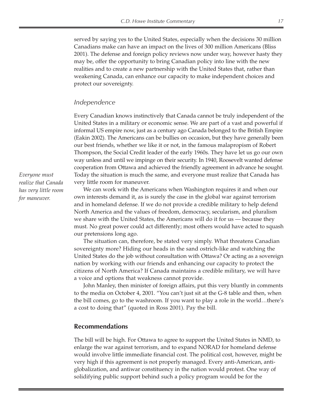served by saying yes to the United States, especially when the decisions 30 million Canadians make can have an impact on the lives of 300 million Americans (Bliss 2001). The defense and foreign policy reviews now under way, however hasty they may be, offer the opportunity to bring Canadian policy into line with the new realities and to create a new partnership with the United States that, rather than weakening Canada, can enhance our capacity to make independent choices and protect our sovereignty.

#### *Independence*

Every Canadian knows instinctively that Canada cannot be truly independent of the United States in a military or economic sense. We are part of a vast and powerful if informal US empire now, just as a century ago Canada belonged to the British Empire (Eakin 2002). The Americans can be bullies on occasion, but they have generally been our best friends, whether we like it or not, in the famous malapropism of Robert Thompson, the Social Credit leader of the early 1960s. They have let us go our own way unless and until we impinge on their security. In 1940, Roosevelt wanted defense cooperation from Ottawa and achieved the friendly agreement in advance he sought. Today the situation is much the same, and everyone must realize that Canada has very little room for maneuver.

We can work with the Americans when Washington requires it and when our own interests demand it, as is surely the case in the global war against terrorism and in homeland defense. If we do not provide a credible military to help defend North America and the values of freedom, democracy, secularism, and pluralism we share with the United States, the Americans will do it for us — because they must. No great power could act differently; most others would have acted to squash our pretensions long ago.

The situation can, therefore, be stated very simply. What threatens Canadian sovereignty more? Hiding our heads in the sand ostrich-like and watching the United States do the job without consultation with Ottawa? Or acting as a sovereign nation by working with our friends and enhancing our capacity to protect the citizens of North America? If Canada maintains a credible military, we will have a voice and options that weakness cannot provide.

John Manley, then minister of foreign affairs, put this very bluntly in comments to the media on October 4, 2001. "You can't just sit at the G-8 table and then, when the bill comes, go to the washroom. If you want to play a role in the world…there's a cost to doing that" (quoted in Ross 2001). Pay the bill.

#### **Recommendations**

The bill will be high. For Ottawa to agree to support the United States in NMD, to enlarge the war against terrorism, and to expand NORAD for homeland defense would involve little immediate financial cost. The political cost, however, might be very high if this agreement is not properly managed. Every anti-American, antiglobalization, and antiwar constituency in the nation would protest. One way of solidifying public support behind such a policy program would be for the

*Everyone must realize that Canada has very little room for maneuver.*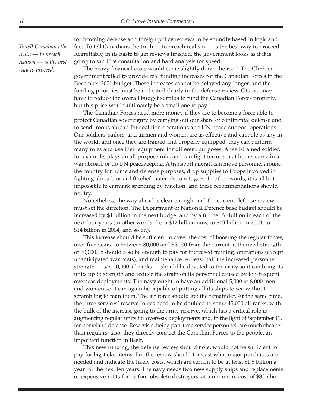*To tell Canadians the truth — to preach realism — is the best way to proceed.*

forthcoming defense and foreign policy reviews to be soundly based in logic and fact. To tell Canadians the truth — to preach realism — is the best way to proceed. Regrettably, in its haste to get reviews finished, the government looks as if it is going to sacrifice consultation and hard analysis for speed.

The heavy financial costs would come slightly down the road. The Chrétien government failed to provide real funding increases for the Canadian Forces in the December 2001 budget. These increases cannot be delayed any longer, and the funding priorities must be indicated clearly in the defense review. Ottawa may have to reduce the overall budget surplus to fund the Canadian Forces properly, but this price would ultimately be a small one to pay.

The Canadian Forces need more money if they are to become a force able to protect Canadian sovereignty by carrying out our share of continental defense and to send troops abroad for coalition operations and UN peace-support operations. Our soldiers, sailors, and airmen and women are as effective and capable as any in the world, and once they are trained and properly equipped, they can perform many roles and use their equipment for different purposes. A well-trained soldier, for example, plays an all-purpose role, and can fight terrorism at home, serve in a war abroad, or do UN peacekeeping. A transport aircraft can move personnel around the country for homeland defense purposes, drop supplies to troops involved in fighting abroad, or airlift relief materials to refugees. In other words, it is all but impossible to earmark spending by function, and these recommendations should not try.

Nonetheless, the way ahead is clear enough, and the current defense review must set the direction. The Department of National Defence base budget should be increased by \$1 billion in the next budget and by a further \$1 billion in each of the next four years (in other words, from \$12 billion now, to \$13 billion in 2003, to \$14 billion in 2004, and so on).

This increase should be sufficient to cover the cost of boosting the regular forces, over five years, to between 80,000 and 85,000 from the current authorized strength of 60,000. It should also be enough to pay for increased training, operations (except unanticipated war costs), and maintenance. At least half the increased personnel strength — say 10,000 all ranks — should be devoted to the army so it can bring its units up to strength and reduce the strain on its personnel caused by too-frequent overseas deployments. The navy ought to have an additional 5,000 to 8,000 men and women so it can again be capable of putting all its ships to sea without scrambling to man them. The air force should get the remainder. At the same time, the three services' reserve forces need to be doubled to some 45,000 all ranks, with the bulk of the increase going to the army reserve, which has a critical role in augmenting regular units for overseas deployments and, in the light of September 11, for homeland defense. Reservists, being part-time service personnel, are much cheaper than regulars; also, they directly connect the Canadian Forces to the people, an important function in itself.

This new funding, the defense review should note, would not be sufficient to pay for big-ticket items. But the review should forecast what major purchases are needed and indicate the likely costs, which are certain to be at least \$1.5 billion a year for the next ten years. The navy needs two new supply ships and replacements or expensive refits for its four obsolete destroyers, at a minimum cost of \$8 billion.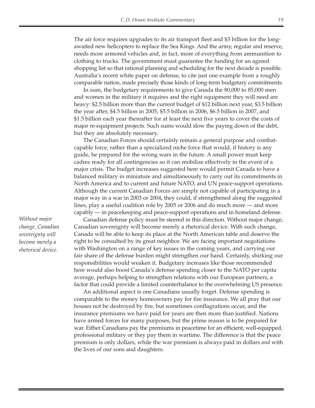The air force requires upgrades to its air transport fleet and \$3 billion for the longawaited new helicopters to replace the Sea Kings. And the army, regular and reserve, needs more armored vehicles and, in fact, more of everything from ammunition to clothing to trucks. The government must guarantee the funding for an agreed shopping list so that rational planning and scheduling for the next decade is possible. Australia's recent white paper on defense, to cite just one example from a roughly comparable nation, made precisely those kinds of long-term budgetary commitments.

In sum, the budgetary requirements to give Canada the 80,000 to 85,000 men and women in the military it requires and the right equipment they will need are heavy: \$2.5 billion more than the current budget of \$12 billion next year, \$3.5 billion the year after, \$4.5 billion in 2005, \$5.5 billion in 2006, \$6.5 billion in 2007, and \$1.5 billion each year thereafter for at least the next five years to cover the costs of major re-equipment projects. Such sums would slow the paying down of the debt, but they are absolutely necessary.

The Canadian Forces should certainly remain a general purpose and combatcapable force, rather than a specialized niche force that would, if history is any guide, be prepared for the wrong wars in the future. A small power must keep cadres ready for all contingencies so it can mobilize effectively in the event of a major crisis. The budget increases suggested here would permit Canada to have a balanced military in miniature and simultaneously to carry out its commitments in North America and to current and future NATO, and UN peace-support operations. Although the current Canadian Forces are simply not capable of participating in a major way in a war in 2003 or 2004, they could, if strengthened along the suggested lines, play a useful coalition role by 2005 or 2006 and do much more — and more capably — in peacekeeping and peace-support operations and in homeland defense.

Canadian defense policy must be steered in this direction. Without major change, Canadian sovereignty will become merely a rhetorical device. With such change, Canada will be able to keep its place at the North American table and deserve the right to be consulted by its great neighbor. We are facing important negotiations with Washington on a range of key issues in the coming years, and carrying our fair share of the defense burden might strengthen our hand. Certainly, shirking our responsibilities would weaken it. Budgetary increases like those recommended here would also boost Canada's defense spending closer to the NATO per capita average, perhaps helping to strengthen relations with our European partners, a factor that could provide a limited counterbalance to the overwhelming US presence.

An additional aspect is one Canadians usually forget. Defense spending is comparable to the money homeowners pay for fire insurance. We all pray that our houses not be destroyed by fire, but sometimes conflagrations occur, and the insurance premiums we have paid for years are then more than justified. Nations have armed forces for many purposes, but the prime reason is to be prepared for war. Either Canadians pay the premiums in peacetime for an efficient, well-equipped, professional military or they pay them in wartime. The difference is that the peace premium is only dollars, while the war premium is always paid in dollars *and* with the lives of our sons and daughters.

*Without major change, Canadian sovereignty will become merely a rhetorical device.*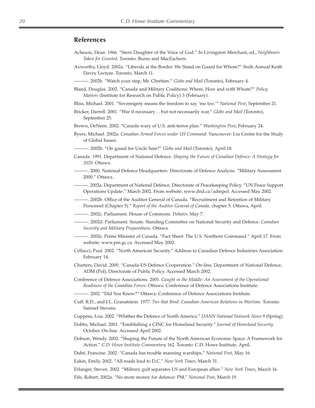#### **References**

- Acheson, Dean. 1966. "Stern Daughter of the Voice of God." In Livingston Merchant, ed., *Neighbours Taken for Granted*. Toronto: Burns and MacEachern.
- Axworthy, Lloyd. 2002a. "Liberals at the Border: We Stand on Guard for Whom?" Sixth Annual Keith Davey Lecture. Toronto, March 11.

———. 2002b. "Watch your step, Mr. Chrétien." *Globe and Mail* (Toronto), February 4.

- Bland, Douglas. 2002. "Canada and Military Coalitions: Where, How and with Whom?" *Policy Matters* (Institute for Research on Public Policy) 3 (February).
- Bliss, Michael. 2001. "Sovereignty means the freedom to say 'me too.'" *National Post*, September 21.
- Bricker, Darrell. 2001. "War if necessary… but not necessarily war," *Globe and Mail* (Toronto), September 25.
- Brown, DeNeen. 2002. "Canada wary of U.S. anti-terror plan." *Washington Post*, February 24.
- Byers, Michael. 2002a. *Canadian Armed Forces under US Command*. Vancouver: Liu Centre for the Study of Global Issues.
- ———. 2002b. "On guard for Uncle Sam?" *Globe and Mail* (Toronto), April 18.
- Canada. 1991. Department of National Defence. *Shaping the Future of Canadian Defence: A Strategy for 2020*. Ottawa.
- ———. 2000. National Defence Headquarters. Directorate of Defence Analysis. "Military Assessment 2000." Ottawa.
- ———. 2002a. Department of National Defence, Directorate of Peacekeeping Policy. "UN Peace Support Operations Update." March 2002. From website: www.dnd.ca/admpol. Accessed May 2002.
- ———. 2002b. Office of the Auditor General of Canada. "Recruitment and Retention of Military Personnel (Chapter 5)." *Report of the Auditor General of Canada*, chapter 5. Ottawa, April.
- ———. 2002c. Parliament. House of Commons. *Debates*. May 7.
- ———. 2002d. Parliament. Senate. Standing Committee on National Security and Defence. *Canadian Security and Military Preparedness*. Ottawa.
- ———. 2002e. Prime Minister of Canada. "Fact Sheet: The U.S. Northern Command." April 17. From website: www.pm.gc.ca. Accessed May 2002.
- Cellucci, Paul. 2002. "North American Security." Address to Canadian Defence Industries Association. February 14.
- Charters, David. 2000. "Canada-US Defence Cooperation." On-line, Department of National Defence, ADM (Pol), Directorate of Public Policy. Accessed March 2002.
- Conference of Defence Associations. 2001. *Caught in the Middle: An Assessment of the Operational Readiness of the Canadian Forces*. Ottawa: Conference of Defence Associations Institute.
- ———. 2002. "Did You Know?" Ottawa: Conference of Defence Associations Institute.
- Cuff, R.D., and J.L. Granatstein. 1977. *Ties that Bind: Canadian-American Relations in Wartime*. Toronto: Samuel Stevens.
- Cuppens, Lou. 2002. "Whither the Defence of North America." *DANN National Network News* 9 (Spring).
- Dobbs, Michael. 2001. "Establishing a CINC for Homeland Security." *Journal of Homeland Security*. October. On-line. Accessed April 2002.
- Dobson, Wendy. 2002. "Shaping the Future of the North American Economic Space: A Framework for Action." *C.D. Howe Institute Commentary* 162. Toronto: C.D. Howe Institute. April.
- Dubé, Francine. 2002. "Canada has trouble manning warships." *National Post*, May 16.

Eakin, Emily. 2002. "All roads lead to D.C." *New York Times*, March 31.

Erlanger, Steven. 2002. "Military gulf separates US and European allies." *New York Times*, March 16.

Fife, Robert, 2002a. "No more money for defence: PM," *National Post*, March 19.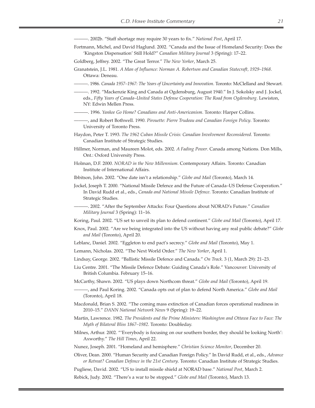———. 2002b. "Staff shortage may require 30 years to fix." *National Post*, April 17.

- Fortmann, Michel, and David Haglund. 2002. "Canada and the Issue of Homeland Security: Does the 'Kingston Dispensation' Still Hold?" *Canadian Military Journal* 3 (Spring): 17–22.
- Goldberg, Jeffrey. 2002. "The Great Terror." *The New Yorker*, March 25.
- Granatstein, J.L. 1981. *A Man of Influence: Norman A. Robertson and Canadian Statecraft, 1929–1968*. Ottawa: Deneau.
- ———. 1986. *Canada 1957–1967: The Years of Uncertainty and Innovation*. Toronto: McClelland and Stewart.
- ———. 1992. "Mackenzie King and Canada at Ogdensburg, August 1940." In J. Sokolsky and J. Jockel, eds., *Fifty Years of Canada–United States Defense Cooperation: The Road from Ogdensburg*. Lewiston, NY: Edwin Mellen Press.
- ———. 1996. *Yankee Go Home? Canadians and Anti-Americanism*. Toronto: Harper Collins.
- ———, and Robert Bothwell. 1990. *Pirouette: Pierre Trudeau and Canadian Foreign Policy*. Toronto: University of Toronto Press.
- Haydon, Peter T. 1993. *The 1962 Cuban Missile Crisis: Canadian Involvement Reconsidered*. Toronto: Canadian Institute of Strategic Studies.
- Hillmer, Norman, and Maureen Molot, eds. 2002. *A Fading Power*. Canada among Nations. Don Mills, Ont.: Oxford University Press.
- Holman, D.F. 2000. *NORAD in the New Millennium*. Contemporary Affairs. Toronto: Canadian Institute of International Affairs.
- Ibbitson, John. 2002. "One date isn't a relationship." *Globe and Mail* (Toronto), March 14.
- Jockel, Joseph T. 2000. "National Missile Defence and the Future of Canada–US Defense Cooperation." In David Rudd et al., eds., *Canada and National Missile Defence*. Toronto: Canadian Institute of Strategic Studies.
- ———. 2002. "After the September Attacks: Four Questions about NORAD's Future." *Canadian Military Journal* 3 (Spring): 11–16.
- Koring, Paul. 2002. "US set to unveil its plan to defend continent." *Globe and Mail* (Toronto), April 17.
- Knox, Paul. 2002. "Are we being integrated into the US without having any real public debate?" *Globe and Mail* (Toronto), April 20.
- Leblanc, Daniel. 2002. "Eggleton to end pact's secrecy." *Globe and Mail* (Toronto), May 1.
- Lemann, Nicholas. 2002. "The Next World Order." *The New Yorker*, April 1.
- Lindsay, George. 2002. "Ballistic Missile Defence and Canada." *On Track*. 3 (1, March 29): 21–23.
- Liu Centre. 2001. "The Missile Defence Debate: Guiding Canada's Role." Vancouver: University of British Columbia. February 15–16.
- McCarthy, Shawn. 2002. "US plays down Northcom threat." *Globe and Mail* (Toronto), April 19.
- ———, and Paul Koring. 2002. "Canada opts out of plan to defend North America." *Globe and Mail* (Toronto), April 18.
- Macdonald, Brian S. 2002. "The coming mass extinction of Canadian forces operational readiness in 2010–15." *DANN National Network News* 9 (Spring): 19–22.
- Martin, Lawrence. 1982. *The Presidents and the Prime Ministers: Washington and Ottawa Face to Face: The Myth of Bilateral Bliss 1867–1982*. Toronto: Doubleday.
- Milnes, Arthur. 2002. "'Everybody is focusing on our southern border, they should be looking North': Axworthy." *The Hill Times*, April 22.
- Nunez, Joseph. 2001. "Homeland and hemisphere." *Christian Science Monitor*, December 20.
- Oliver, Dean. 2000. "Human Security and Canadian Foreign Policy." In David Rudd, et al., eds., *Advance or Retreat? Canadian Defence in the 21st Century*. Toronto: Canadian Institute of Strategic Studies.
- Pugliese, David. 2002. "US to install missile shield at NORAD base." *National Post*, March 2.

Rebick, Judy. 2002. "There's a war to be stopped." *Globe and Mail* (Toronto), March 13.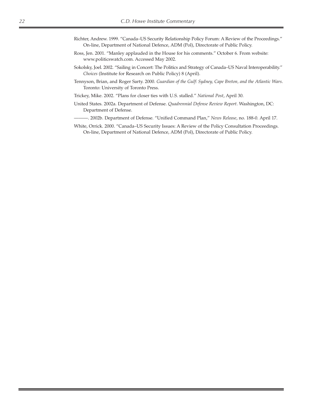- Richter, Andrew. 1999. "Canada–US Security Relationship Policy Forum: A Review of the Proceedings." On-line, Department of National Defence, ADM (Pol), Directorate of Public Policy.
- Ross, Jen. 2001. "Manley applauded in the House for his comments." October 6. From website: www.politicswatch.com. Accessed May 2002.
- Sokolsky, Joel. 2002. "Sailing in Concert: The Politics and Strategy of Canada–US Naval Interoperability." *Choices* (Institute for Research on Public Policy) 8 (April).
- Tennyson, Brian, and Roger Sarty. 2000. *Guardian of the Gulf: Sydney, Cape Breton, and the Atlantic Wars*. Toronto: University of Toronto Press.

Trickey, Mike. 2002. "Plans for closer ties with U.S. stalled." *National Post*, April 30.

United States. 2002a. Department of Defense. *Quadrennial Defense Review Report*. Washington, DC: Department of Defense.

———. 2002b. Department of Defense. "Unified Command Plan," *News Release*, no. 188-0. April 17.

White, Orrick. 2000. "Canada–US Security Issues: A Review of the Policy Consultation Proceedings. On-line, Department of National Defence, ADM (Pol), Directorate of Public Policy.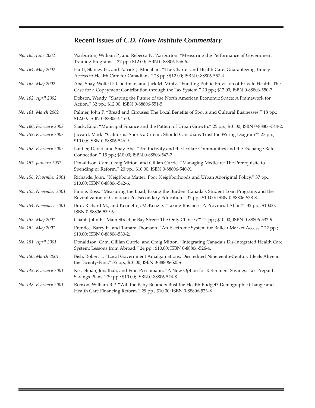### **Recent Issues of** *C.D. Howe Institute Commentary*

| No. 165, June 2002     | Warburton, William P., and Rebecca N. Warburton. "Measuring the Performance of Government<br>Training Programs." 27 pp.; \$12.00; ISBN 0-88806-556-6.                                               |
|------------------------|-----------------------------------------------------------------------------------------------------------------------------------------------------------------------------------------------------|
| No. 164, May 2002      | Hartt, Stanley H., and Patrick J. Monahan. "The Charter and Health Care: Guaranteeing Timely<br>Access to Health Care for Canadians." 28 pp.; \$12.00; ISBN 0-88806-557-4.                          |
| No. 163, May 2002      | Aba, Shay, Wolfe D. Goodman, and Jack M. Mintz. "Funding Public Provision of Private Health: The<br>Case for a Copayment Contribution through the Tax System." 20 pp.; \$12.00; ISBN 0-88806-550-7. |
| No. 162, April 2002    | Dobson, Wendy. "Shaping the Future of the North American Economic Space: A Framework for<br>Action." 32 pp.; \$12.00; ISBN 0-88806-551-5.                                                           |
| No. 161, March 2002    | Palmer, John P. "Bread and Circuses: The Local Benefits of Sports and Cultural Businesses." 18 pp.;<br>\$12.00; ISBN 0-88806-545-0.                                                                 |
| No. 160, February 2002 | Slack, Enid. "Municipal Finance and the Pattern of Urban Growth." 25 pp.; \$10.00; ISBN 0-88806-544-2.                                                                                              |
| No. 159, February 2002 | Jaccard, Mark. "California Shorts a Circuit: Should Canadians Trust the Wiring Diagram?" 27 pp.;<br>\$10.00; ISBN 0-88806-546-9.                                                                    |
| No. 158, February 2002 | Laidler, David, and Shay Aba. "Productivity and the Dollar: Commodities and the Exchange Rate<br>Connection." 15 pp.; \$10.00; ISBN 0-88806-547-7.                                                  |
| No. 157, January 2002  | Donaldson, Cam, Craig Mitton, and Gillian Currie. "Managing Medicare: The Prerequisite to<br>Spending or Reform." 20 pp.; \$10.00; ISBN 0-88806-540-X.                                              |
| No. 156, November 2001 | Richards, John. "Neighbors Matter: Poor Neighborhoods and Urban Aboriginal Policy." 37 pp.;<br>\$10.00; ISBN 0-88806-542-6.                                                                         |
| No. 155, November 2001 | Finnie, Ross. "Measuring the Load, Easing the Burden: Canada's Student Loan Programs and the<br>Revitalization of Canadian Postsecondary Education." 32 pp.; \$10.00; ISBN 0-88806-538-8.           |
| No. 154, November 2001 | Bird, Richard M., and Kenneth J. McKenzie. "Taxing Business: A Provincial Affair?" 32 pp.; \$10.00;<br>ISBN 0-88806-539-6.                                                                          |
| No. 153, May 2001      | Chant, John F. "Main Street or Bay Street: The Only Choices?" 24 pp.; \$10.00; ISBN 0-88806-532-9.                                                                                                  |
| No. 152, May 2001      | Prentice, Barry E., and Tamara Thomson. "An Electronic System for Railcar Market Access." 22 pp.;<br>\$10.00; ISBN 0-88806-530-2.                                                                   |
| No. 151, April 2001    | Donaldson, Cam, Gillian Currie, and Craig Mitton. "Integrating Canada's Dis-Integrated Health Care<br>System: Lessons from Abroad." 24 pp.; \$10.00; ISBN 0-88806-526-4.                            |
| No. 150, March 2001    | Bish, Robert L. "Local Government Amalgamations: Discredited Nineteenth-Century Ideals Alive in<br>the Twenty-First." 35 pp.; \$10.00; ISBN 0-88806-525-6.                                          |
| No. 149, February 2001 | Kesselman, Jonathan, and Finn Poschmann. "A New Option for Retirement Savings: Tax-Prepaid<br>Savings Plans." 39 pp.; \$10.00; ISBN 0-88806-524-8.                                                  |
| No. 148, February 2001 | Robson, William B.P. "Will the Baby Boomers Bust the Health Budget? Demographic Change and<br>Health Care Financing Reform." 29 pp.; \$10.00; ISBN 0-88806-523-X.                                   |